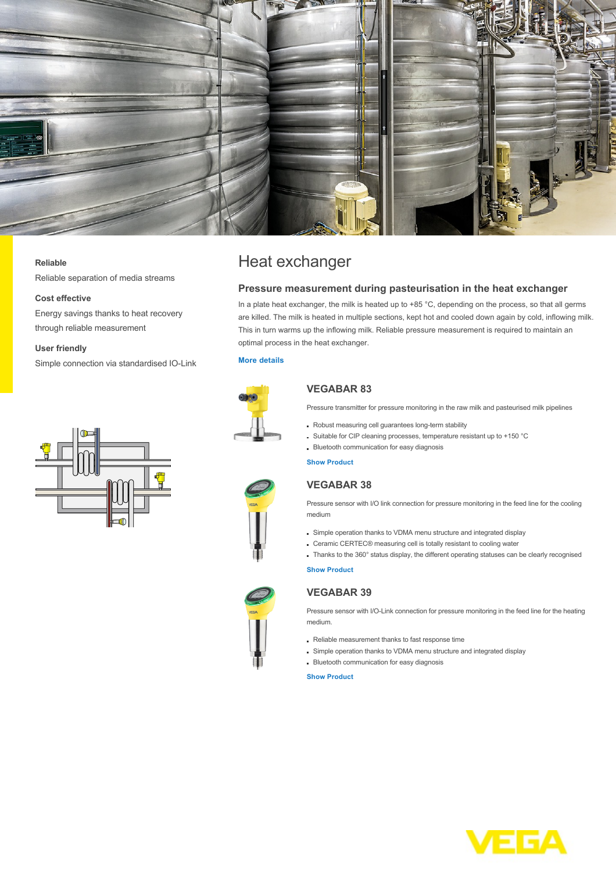

#### **Reliable**

Reliable separation of media streams

## **Cost effective**

Energy savings thanks to heat recovery through reliable measurement

#### **User friendly**

Simple connection via standardised IO-Link



# Heat exchanger

## **Pressure measurement during pasteurisation in the heat exchanger**

In a plate heat exchanger, the milk is heated up to +85 °C, depending on the process, so that all germs are killed. The milk is heated in multiple sections, kept hot and cooled down again by cold, inflowing milk. This in turn warms up the inflowing milk. Reliable pressure measurement is required to maintain an optimal process in the heat exchanger.

## **[More details](http://localhost/en-us/industries/food-industry/dairy/heat-exchanger)**



## **VEGABAR 83**

Pressure transmitter for pressure monitoring in the raw milk and pasteurised milk pipelines

- Robust measuring cell guarantees long-term stability
- Suitable for CIP cleaning processes, temperature resistant up to +150 °C
- **Bluetooth communication for easy diagnosis**

**[Show Product](http://localhost/en-us/products/product-catalog/pressure/process-pressure/vegabar-83)**

# **VEGABAR 38**

Pressure sensor with I/O link connection for pressure monitoring in the feed line for the cooling medium

- Simple operation thanks to VDMA menu structure and integrated display
- Ceramic CERTEC® measuring cell is totally resistant to cooling water
- Thanks to the 360° status display, the different operating statuses can be clearly recognised

#### **[Show Product](http://localhost/en-us/products/product-catalog/pressure/process-pressure/vegabar-38)**



## **VEGABAR 39**

Pressure sensor with I/O-Link connection for pressure monitoring in the feed line for the heating medium.

- Reliable measurement thanks to fast response time
- Simple operation thanks to VDMA menu structure and integrated display
- Bluetooth communication for easy diagnosis

#### **[Show Product](http://localhost/en-us/products/product-catalog/pressure/process-pressure/vegabar-39)**